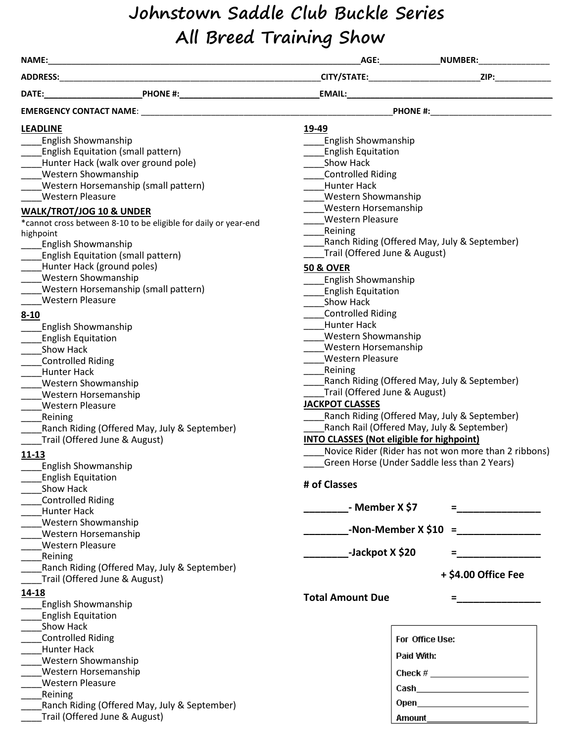# **Johnstown Saddle Club Buckle Series All Breed Training Show**

| NAME:                                        |                                                                                                                                                                                                                               |                                                  |                                                      |  |  |  |  |
|----------------------------------------------|-------------------------------------------------------------------------------------------------------------------------------------------------------------------------------------------------------------------------------|--------------------------------------------------|------------------------------------------------------|--|--|--|--|
|                                              |                                                                                                                                                                                                                               |                                                  |                                                      |  |  |  |  |
|                                              |                                                                                                                                                                                                                               |                                                  |                                                      |  |  |  |  |
|                                              | EMERGENCY CONTACT NAME: NAME: NAME: NAME: NAME: NAME: NAME: NAME: NAME: NAME: NAME: NAME: NAME: NAME: NAME: NAME: NAME: NAME: NAME: NAME: NAME: NAME: NAME: NAME: NAME: NAME: NAME: NAME: NAME: NAME: NAME: NAME: NAME: NAME: | PHONE #: ________________________                |                                                      |  |  |  |  |
| <b>LEADLINE</b>                              |                                                                                                                                                                                                                               | 19-49                                            |                                                      |  |  |  |  |
| <b>English Showmanship</b>                   |                                                                                                                                                                                                                               | <b>English Showmanship</b>                       |                                                      |  |  |  |  |
|                                              | <b>English Equitation (small pattern)</b>                                                                                                                                                                                     | <b>English Equitation</b>                        |                                                      |  |  |  |  |
|                                              | Hunter Hack (walk over ground pole)                                                                                                                                                                                           | Show Hack                                        |                                                      |  |  |  |  |
| <b>Western Showmanship</b>                   |                                                                                                                                                                                                                               | <b>Controlled Riding</b>                         |                                                      |  |  |  |  |
|                                              | Western Horsemanship (small pattern)                                                                                                                                                                                          | <b>Hunter Hack</b>                               |                                                      |  |  |  |  |
| <b>Western Pleasure</b>                      |                                                                                                                                                                                                                               | <b>Western Showmanship</b>                       |                                                      |  |  |  |  |
| <b>WALK/TROT/JOG 10 &amp; UNDER</b>          |                                                                                                                                                                                                                               | Western Horsemanship                             |                                                      |  |  |  |  |
|                                              | *cannot cross between 8-10 to be eligible for daily or year-end                                                                                                                                                               | <b>Western Pleasure</b>                          |                                                      |  |  |  |  |
| highpoint                                    |                                                                                                                                                                                                                               | Reining                                          |                                                      |  |  |  |  |
| <b>English Showmanship</b>                   |                                                                                                                                                                                                                               |                                                  | Ranch Riding (Offered May, July & September)         |  |  |  |  |
|                                              | <b>English Equitation (small pattern)</b>                                                                                                                                                                                     | Trail (Offered June & August)                    |                                                      |  |  |  |  |
|                                              | Hunter Hack (ground poles)                                                                                                                                                                                                    | <b>50 &amp; OVER</b>                             |                                                      |  |  |  |  |
| <b>Western Showmanship</b>                   |                                                                                                                                                                                                                               | <b>English Showmanship</b>                       |                                                      |  |  |  |  |
|                                              | Western Horsemanship (small pattern)                                                                                                                                                                                          | <b>English Equitation</b>                        |                                                      |  |  |  |  |
| <b>Western Pleasure</b>                      |                                                                                                                                                                                                                               | Show Hack                                        |                                                      |  |  |  |  |
|                                              |                                                                                                                                                                                                                               | <b>Controlled Riding</b>                         |                                                      |  |  |  |  |
| $8 - 10$                                     |                                                                                                                                                                                                                               | Hunter Hack                                      |                                                      |  |  |  |  |
| <b>English Showmanship</b>                   |                                                                                                                                                                                                                               |                                                  |                                                      |  |  |  |  |
| <b>English Equitation</b>                    |                                                                                                                                                                                                                               | <b>Western Showmanship</b>                       |                                                      |  |  |  |  |
| Show Hack                                    |                                                                                                                                                                                                                               | Western Horsemanship<br><b>Western Pleasure</b>  |                                                      |  |  |  |  |
| Controlled Riding                            |                                                                                                                                                                                                                               | Reining                                          |                                                      |  |  |  |  |
| <b>Hunter Hack</b>                           |                                                                                                                                                                                                                               |                                                  | Ranch Riding (Offered May, July & September)         |  |  |  |  |
| <b>Western Showmanship</b>                   |                                                                                                                                                                                                                               | Trail (Offered June & August)                    |                                                      |  |  |  |  |
| <b>Western Horsemanship</b>                  |                                                                                                                                                                                                                               |                                                  |                                                      |  |  |  |  |
| <b>Western Pleasure</b>                      |                                                                                                                                                                                                                               | <b>JACKPOT CLASSES</b>                           |                                                      |  |  |  |  |
| Reining                                      |                                                                                                                                                                                                                               |                                                  | Ranch Riding (Offered May, July & September)         |  |  |  |  |
| Ranch Riding (Offered May, July & September) |                                                                                                                                                                                                                               | Ranch Rail (Offered May, July & September)       |                                                      |  |  |  |  |
|                                              | Trail (Offered June & August)                                                                                                                                                                                                 | <b>INTO CLASSES (Not eligible for highpoint)</b> |                                                      |  |  |  |  |
| $11 - 13$                                    |                                                                                                                                                                                                                               |                                                  | Novice Rider (Rider has not won more than 2 ribbons) |  |  |  |  |
| <b>English Showmanship</b>                   |                                                                                                                                                                                                                               |                                                  | Green Horse (Under Saddle less than 2 Years)         |  |  |  |  |
| <b>English Equitation</b>                    |                                                                                                                                                                                                                               |                                                  |                                                      |  |  |  |  |
| Show Hack                                    |                                                                                                                                                                                                                               | # of Classes                                     |                                                      |  |  |  |  |
| <b>Controlled Riding</b>                     |                                                                                                                                                                                                                               |                                                  |                                                      |  |  |  |  |
| <b>Hunter Hack</b>                           |                                                                                                                                                                                                                               | - Member X \$7                                   |                                                      |  |  |  |  |
| Western Showmanship                          |                                                                                                                                                                                                                               |                                                  |                                                      |  |  |  |  |
| Western Horsemanship                         |                                                                                                                                                                                                                               |                                                  |                                                      |  |  |  |  |
| <b>Western Pleasure</b>                      |                                                                                                                                                                                                                               | -Jackpot X \$20                                  |                                                      |  |  |  |  |
| Reining                                      |                                                                                                                                                                                                                               |                                                  |                                                      |  |  |  |  |
|                                              | Ranch Riding (Offered May, July & September)                                                                                                                                                                                  |                                                  | + \$4.00 Office Fee                                  |  |  |  |  |
|                                              | Trail (Offered June & August)                                                                                                                                                                                                 |                                                  |                                                      |  |  |  |  |
| $14 - 18$                                    |                                                                                                                                                                                                                               | <b>Total Amount Due</b>                          |                                                      |  |  |  |  |
| <b>English Showmanship</b>                   |                                                                                                                                                                                                                               |                                                  |                                                      |  |  |  |  |
| <b>English Equitation</b>                    |                                                                                                                                                                                                                               |                                                  |                                                      |  |  |  |  |
| Show Hack                                    |                                                                                                                                                                                                                               |                                                  |                                                      |  |  |  |  |
| <b>Controlled Riding</b>                     |                                                                                                                                                                                                                               |                                                  | For Office Use:                                      |  |  |  |  |
| <b>Hunter Hack</b>                           |                                                                                                                                                                                                                               | Paid With:                                       |                                                      |  |  |  |  |
| <b>Western Showmanship</b>                   |                                                                                                                                                                                                                               |                                                  |                                                      |  |  |  |  |
| Western Horsemanship                         |                                                                                                                                                                                                                               |                                                  |                                                      |  |  |  |  |
| <b>Western Pleasure</b>                      |                                                                                                                                                                                                                               |                                                  | Cash_________________________                        |  |  |  |  |
| Reining                                      |                                                                                                                                                                                                                               |                                                  |                                                      |  |  |  |  |
|                                              | Ranch Riding (Offered May, July & September)                                                                                                                                                                                  |                                                  |                                                      |  |  |  |  |
|                                              | Trail (Offered June & August)                                                                                                                                                                                                 |                                                  | <b>Amount Amount</b>                                 |  |  |  |  |